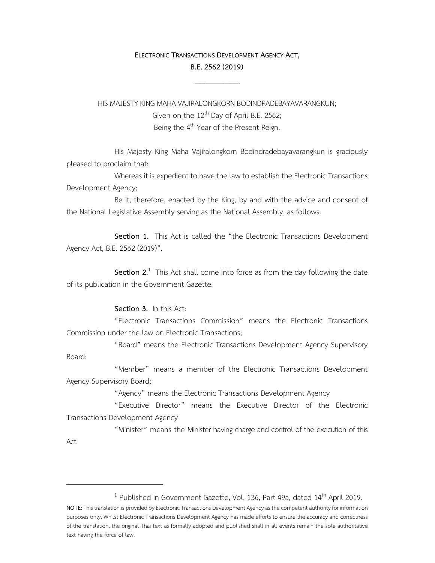## **ELECTRONIC TRANSACTIONS DEVELOPMENT AGENCY ACT, B.E.2562(2019)**

 $\mathcal{L}_\text{max}$ 

HIS MAJESTY KING MAHA VAJIRALONGKORN BODINDRADEBAYAVARANGKUN; Given on the 12<sup>th</sup> Day of April B.E. 2562; Being the 4<sup>th</sup> Year of the Present Reign.

 His Majesty King Maha Vajiralongkorn Bodindradebayavarangkun is graciously pleased to proclaim that:

 Whereas it is expedient to have the law to establish the Electronic Transactions Development Agency;

 Be it, therefore, enacted by the King, by and with the advice and consent of the National Legislative Assembly serving as the National Assembly, as follows.

 **Section 1.** This Act is called the "the Electronic Transactions Development Agency Act, B.E. 2562 (2019)".

**Section 2.**<sup>1</sup> This Act shall come into force as from the day following the date of its publication in the Government Gazette.

## **Section 3.** In this Act:

 "Electronic Transactions Commission" means the Electronic Transactions Commission under the law on Electronic Transactions;

 "Board" means the Electronic Transactions Development Agency Supervisory Board;

 "Member" means a member of the Electronic Transactions Development Agency Supervisory Board;

"Agency" means the Electronic Transactions Development Agency

 "Executive Director" means the Executive Director of the Electronic Transactions Development Agency

 "Minister" means the Minister having charge and control of the execution of this Act.

<sup>&</sup>lt;sup>1</sup> Published in Government Gazette, Vol. 136, Part 49a, dated 14<sup>th</sup> April 2019.

**NOTE:** This translation is provided by Electronic Transactions Development Agency as the competent authority for information purposes only. Whilst Electronic Transactions Development Agency has made efforts to ensure the accuracy and correctness of the translation, the original Thai text as formally adopted and published shall in all events remain the sole authoritative text having the force of law.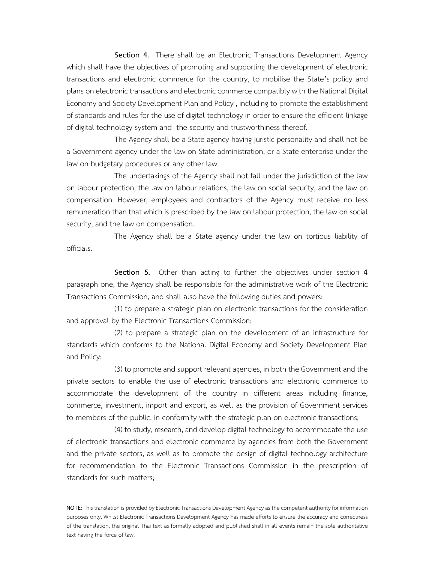**Section 4.** There shall be an Electronic Transactions Development Agency which shall have the objectives of promoting and supporting the development of electronic transactions and electronic commerce for the country, to mobilise the State's policy and plans on electronic transactions and electronic commerce compatibly with the National Digital Economy and Society Development Plan and Policy , including to promote the establishment of standards and rules for the use of digital technology in order to ensure the efficient linkage of digital technology system and the security and trustworthiness thereof.

 The Agency shall be a State agency having juristic personality and shall not be a Government agency under the law on State administration, or a State enterprise under the law on budgetary procedures or any other law.

 The undertakings of the Agency shall not fall under the jurisdiction of the law on labour protection, the law on labour relations, the law on social security, and the law on compensation. However, employees and contractors of the Agency must receive no less remuneration than that which is prescribed by the law on labour protection, the law on social security, and the law on compensation.

 The Agency shall be a State agency under the law on tortious liability of officials.

 **Section 5.** Other than acting to further the objectives under section 4 paragraph one, the Agency shall be responsible for the administrative work of the Electronic Transactions Commission, and shall also have the following duties and powers:

 (1) to prepare a strategic plan on electronic transactions for the consideration and approval by the Electronic Transactions Commission;

 (2) to prepare a strategic plan on the development of an infrastructure for standards which conforms to the National Digital Economy and Society Development Plan and Policy;

 (3) to promote and support relevant agencies, in both the Government and the private sectors to enable the use of electronic transactions and electronic commerce to accommodate the development of the country in different areas including finance, commerce, investment, import and export, as well as the provision of Government services to members of the public, in conformity with the strategic plan on electronic transactions;

 (4) to study, research, and develop digital technology to accommodate the use of electronic transactions and electronic commerce by agencies from both the Government and the private sectors, as well as to promote the design of digital technology architecture for recommendation to the Electronic Transactions Commission in the prescription of standards for such matters;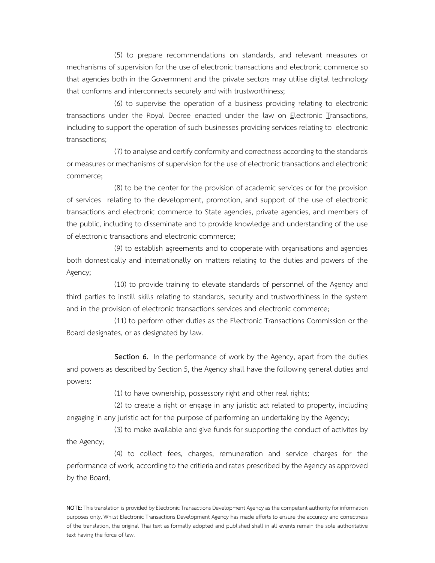(5) to prepare recommendations on standards, and relevant measures or mechanisms of supervision for the use of electronic transactions and electronic commerce so that agencies both in the Government and the private sectors may utilise digital technology that conforms and interconnects securely and with trustworthiness;

 (6) to supervise the operation of a business providing relating to electronic transactions under the Royal Decree enacted under the law on Electronic Transactions, including to support the operation of such businesses providing services relating to electronic transactions;

 (7) to analyse and certify conformity and correctness according to the standards or measures or mechanisms of supervision for the use of electronic transactions and electronic commerce;

 (8) to be the center for the provision of academic services or for the provision of services relating to the development, promotion, and support of the use of electronic transactions and electronic commerce to State agencies, private agencies, and members of the public, including to disseminate and to provide knowledge and understanding of the use of electronic transactions and electronic commerce;

 (9) to establish agreements and to cooperate with organisations and agencies both domestically and internationally on matters relating to the duties and powers of the Agency;

 (10) to provide training to elevate standards of personnel of the Agency and third parties to instill skills relating to standards, security and trustworthiness in the system and in the provision of electronic transactions services and electronic commerce;

 (11) to perform other duties as the Electronic Transactions Commission or the Board designates, or as designated by law.

 **Section 6.** In the performance of work by the Agency, apart from the duties and powers as described by Section 5, the Agency shall have the following general duties and powers:

(1) to have ownership, possessory right and other real rights;

 (2) to create a right or engage in any juristic act related to property, including engaging in any juristic act for the purpose of performing an undertaking by the Agency;

 (3) to make available and give funds for supporting the conduct of activites by the Agency;

 (4) to collect fees, charges, remuneration and service charges for the performance of work, according to the critieria and rates prescribed by the Agency as approved by the Board;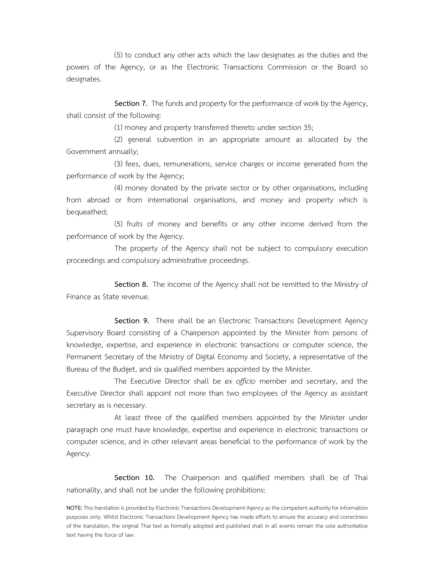(5) to conduct any other acts which the law designates as the duties and the powers of the Agency, or as the Electronic Transactions Commission or the Board so designates.

 **Section 7.** The funds and property for the performance of work by the Agency, shall consist of the following:

(1) money and property transferred thereto under section 35;

 (2) general subvention in an appropriate amount as allocated by the Government annually;

 (3) fees, dues, remunerations, service charges or income generated from the performance of work by the Agency;

 (4) money donated by the private sector or by other organisations, including from abroad or from international organisations, and money and property which is bequeathed;

 (5) fruits of money and benefits or any other income derived from the performance of work by the Agency.

 The property of the Agency shall not be subject to compulsory execution proceedings and compulsory administrative proceedings.

 **Section 8.** The income of the Agency shall not be remitted to the Ministry of Finance as State revenue.

 **Section 9.** There shall be an Electronic Transactions Development Agency Supervisory Board consisting of a Chairperson appointed by the Minister from persons of knowledge, expertise, and experience in electronic transactions or computer science, the Permanent Secretary of the Ministry of Digital Economy and Society, a representative of the Bureau of the Budget, and six qualified members appointed by the Minister.

 The Executive Director shall be *ex officio* member and secretary, and the Executive Director shall appoint not more than two employees of the Agency as assistant secretary as is necessary.

 At least three of the qualified members appointed by the Minister under paragraph one must have knowledge, expertise and experience in electronic transactions or computer science, and in other relevant areas beneficial to the performance of work by the Agency.

 **Section 10.** The Chairperson and qualified members shall be of Thai nationality, and shall not be under the following prohibitions: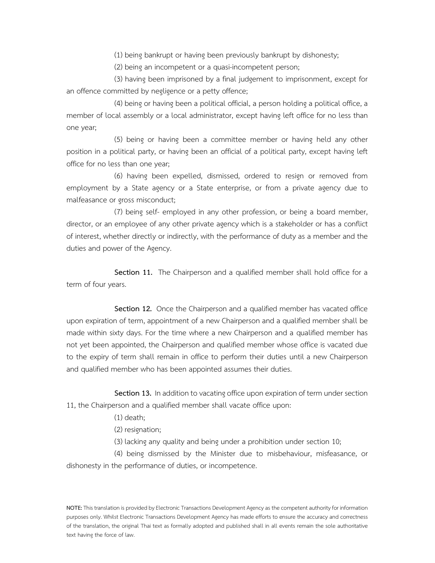(1) being bankrupt or having been previously bankrupt by dishonesty;

(2) being an incompetent or a quasi-incompetent person;

 (3) having been imprisoned by a final judgement to imprisonment, except for an offence committed by negligence or a petty offence;

 (4) being or having been a political official, a person holding a political office, a member of local assembly or a local administrator, except having left office for no less than one year;

 (5) being or having been a committee member or having held any other position in a political party, or having been an official of a political party, except having left office for no less than one year;

 (6) having been expelled, dismissed, ordered to resign or removed from employment by a State agency or a State enterprise, or from a private agency due to malfeasance or gross misconduct;

 (7) being self- employed in any other profession, or being a board member, director, or an employee of any other private agency which is a stakeholder or has a conflict of interest, whether directly or indirectly, with the performance of duty as a member and the duties and power of the Agency.

 **Section 11.** The Chairperson and a qualified member shall hold office for a term of four years.

 **Section 12.** Once the Chairperson and a qualified member has vacated office upon expiration of term, appointment of a new Chairperson and a qualified member shall be made within sixty days. For the time where a new Chairperson and a qualified member has not yet been appointed, the Chairperson and qualified member whose office is vacated due to the expiry of term shall remain in office to perform their duties until a new Chairperson and qualified member who has been appointed assumes their duties.

 **Section 13.** In addition to vacating office upon expiration of term under section 11, the Chairperson and a qualified member shall vacate office upon:

(1) death;

(2) resignation;

(3) lacking any quality and being under a prohibition under section 10;

 (4) being dismissed by the Minister due to misbehaviour, misfeasance, or dishonesty in the performance of duties, or incompetence.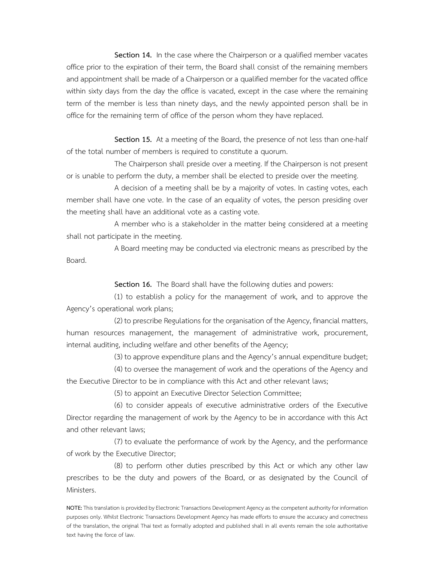**Section 14.** In the case where the Chairperson or a qualified member vacates office prior to the expiration of their term, the Board shall consist of the remaining members and appointment shall be made of a Chairperson or a qualified member for the vacated office within sixty days from the day the office is vacated, except in the case where the remaining term of the member is less than ninety days, and the newly appointed person shall be in office for the remaining term of office of the person whom they have replaced.

 **Section 15.** At a meeting of the Board, the presence of not less than one-half of the total number of members is required to constitute a quorum.

 The Chairperson shall preside over a meeting. If the Chairperson is not present or is unable to perform the duty, a member shall be elected to preside over the meeting.

 A decision of a meeting shall be by a majority of votes. In casting votes, each member shall have one vote. In the case of an equality of votes, the person presiding over the meeting shall have an additional vote as a casting vote.

 A member who is a stakeholder in the matter being considered at a meeting shall not participate in the meeting.

 A Board meeting may be conducted via electronic means as prescribed by the Board.

**Section 16.** The Board shall have the following duties and powers:

 (1) to establish a policy for the management of work, and to approve the Agency's operational work plans;

 (2) to prescribe Regulations for the organisation of the Agency, financial matters, human resources management, the management of administrative work, procurement, internal auditing, including welfare and other benefits of the Agency;

(3) to approve expenditure plans and the Agency's annual expenditure budget;

 (4) to oversee the management of work and the operations of the Agency and the Executive Director to be in compliance with this Act and other relevant laws;

(5) to appoint an Executive Director Selection Committee;

 (6) to consider appeals of executive administrative orders of the Executive Director regarding the management of work by the Agency to be in accordance with this Act and other relevant laws;

 (7) to evaluate the performance of work by the Agency, and the performance of work by the Executive Director;

 (8) to perform other duties prescribed by this Act or which any other law prescribes to be the duty and powers of the Board, or as designated by the Council of Ministers.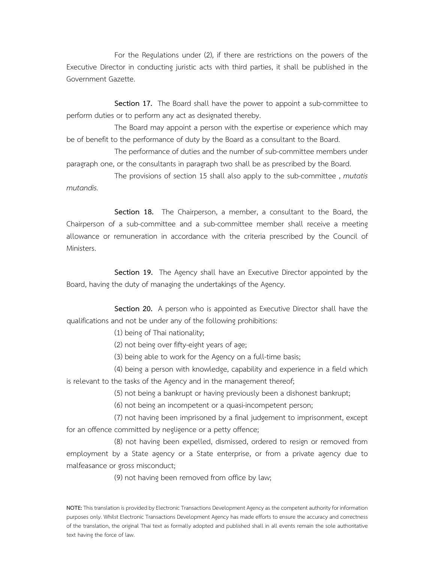For the Regulations under (2), if there are restrictions on the powers of the Executive Director in conducting juristic acts with third parties, it shall be published in the Government Gazette.

 **Section 17.** The Board shall have the power to appoint a sub-committee to perform duties or to perform any act as designated thereby.

 The Board may appoint a person with the expertise or experience which may be of benefit to the performance of duty by the Board as a consultant to the Board.

 The performance of duties and the number of sub-committee members under paragraph one, or the consultants in paragraph two shall be as prescribed by the Board.

 The provisions of section 15 shall also apply to the sub-committee , *mutatis mutandis.*

 **Section 18.** The Chairperson, a member, a consultant to the Board, the Chairperson of a sub-committee and a sub-committee member shall receive a meeting allowance or remuneration in accordance with the criteria prescribed by the Council of Ministers.

 **Section 19.** The Agency shall have an Executive Director appointed by the Board, having the duty of managing the undertakings of the Agency.

 **Section 20.** A person who is appointed as Executive Director shall have the qualifications and not be under any of the following prohibitions:

(1) being of Thai nationality;

(2) not being over fifty-eight years of age;

(3) being able to work for the Agency on a full-time basis;

 (4) being a person with knowledge, capability and experience in a field which is relevant to the tasks of the Agency and in the management thereof;

(5) not being a bankrupt or having previously been a dishonest bankrupt;

(6) not being an incompetent or a quasi-incompetent person;

 (7) not having been imprisoned by a final judgement to imprisonment, except for an offence committed by negligence or a petty offence;

 (8) not having been expelled, dismissed, ordered to resign or removed from employment by a State agency or a State enterprise, or from a private agency due to malfeasance or gross misconduct;

(9) not having been removed from office by law;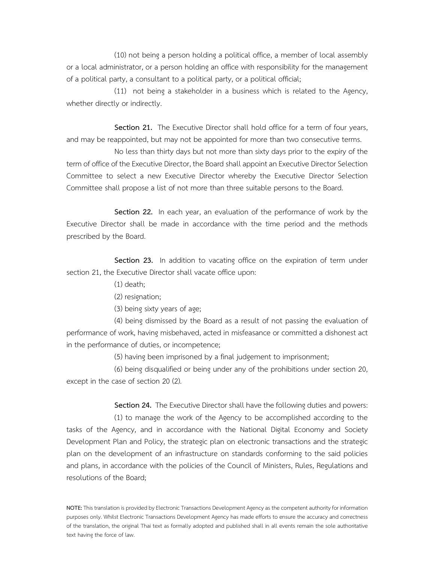(10) not being a person holding a political office, a member of local assembly or a local administrator, or a person holding an office with responsibility for the management of a political party, a consultant to a political party, or a political official;

 (11) not being a stakeholder in a business which is related to the Agency, whether directly or indirectly.

Section 21. The Executive Director shall hold office for a term of four years, and may be reappointed, but may not be appointed for more than two consecutive terms.

 No less than thirty days but not more than sixty days prior to the expiry of the term of office of the Executive Director, the Board shall appoint an Executive Director Selection Committee to select a new Executive Director whereby the Executive Director Selection Committee shall propose a list of not more than three suitable persons to the Board.

 **Section 22.** In each year, an evaluation of the performance of work by the Executive Director shall be made in accordance with the time period and the methods prescribed by the Board.

 **Section 23.** In addition to vacating office on the expiration of term under section 21, the Executive Director shall vacate office upon:

(1) death;

(2) resignation;

(3) being sixty years of age;

 (4) being dismissed by the Board as a result of not passing the evaluation of performance of work, having misbehaved, acted in misfeasance or committed a dishonest act in the performance of duties, or incompetence;

(5) having been imprisoned by a final judgement to imprisonment;

 (6) being disqualified or being under any of the prohibitions under section 20, except in the case of section 20 (2).

**Section 24.** The Executive Director shall have the following duties and powers:

 (1) to manage the work of the Agency to be accomplished according to the tasks of the Agency, and in accordance with the National Digital Economy and Society Development Plan and Policy, the strategic plan on electronic transactions and the strategic plan on the development of an infrastructure on standards conforming to the said policies and plans, in accordance with the policies of the Council of Ministers, Rules, Regulations and resolutions of the Board;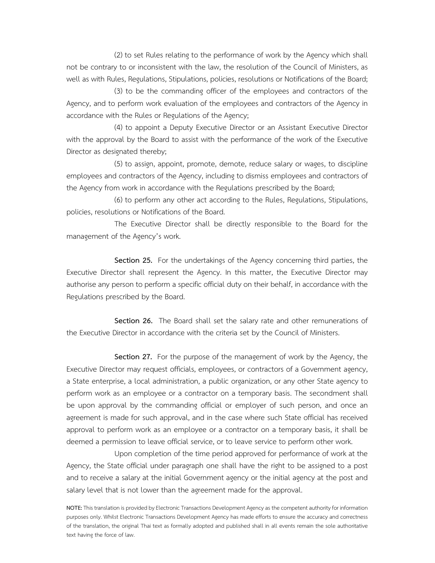(2) to set Rules relating to the performance of work by the Agency which shall not be contrary to or inconsistent with the law, the resolution of the Council of Ministers, as well as with Rules, Regulations, Stipulations, policies, resolutions or Notifications of the Board;

 (3) to be the commanding officer of the employees and contractors of the Agency, and to perform work evaluation of the employees and contractors of the Agency in accordance with the Rules or Regulations of the Agency;

 (4) to appoint a Deputy Executive Director or an Assistant Executive Director with the approval by the Board to assist with the performance of the work of the Executive Director as designated thereby;

 (5) to assign, appoint, promote, demote, reduce salary or wages, to discipline employees and contractors of the Agency, including to dismiss employees and contractors of the Agency from work in accordance with the Regulations prescribed by the Board;

 (6) to perform any other act according to the Rules, Regulations, Stipulations, policies, resolutions or Notifications of the Board.

 The Executive Director shall be directly responsible to the Board for the management of the Agency's work.

 **Section 25.** For the undertakings of the Agency concerning third parties, the Executive Director shall represent the Agency. In this matter, the Executive Director may authorise any person to perform a specific official duty on their behalf, in accordance with the Regulations prescribed by the Board.

 **Section 26.** The Board shall set the salary rate and other remunerations of the Executive Director in accordance with the criteria set by the Council of Ministers.

 **Section 27.** For the purpose of the management of work by the Agency, the Executive Director may request officials, employees, or contractors of a Government agency, a State enterprise, a local administration, a public organization, or any other State agency to perform work as an employee or a contractor on a temporary basis. The secondment shall be upon approval by the commanding official or employer of such person, and once an agreement is made for such approval, and in the case where such State official has received approval to perform work as an employee or a contractor on a temporary basis, it shall be deemed a permission to leave official service, or to leave service to perform other work.

 Upon completion of the time period approved for performance of work at the Agency, the State official under paragraph one shall have the right to be assigned to a post and to receive a salary at the initial Government agency or the initial agency at the post and salary level that is not lower than the agreement made for the approval.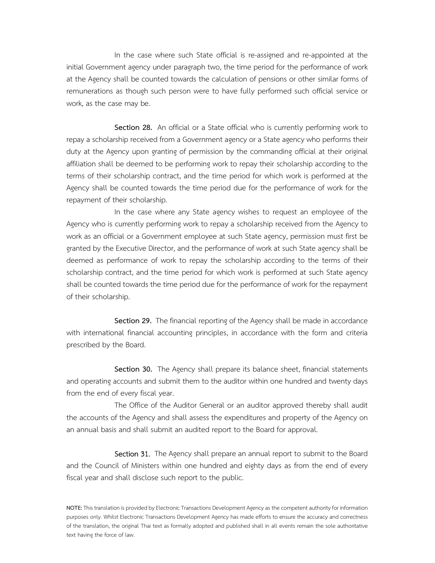In the case where such State official is re-assigned and re-appointed at the initial Government agency under paragraph two, the time period for the performance of work at the Agency shall be counted towards the calculation of pensions or other similar forms of remunerations as though such person were to have fully performed such official service or work, as the case may be.

 **Section 28.** An official or a State official who is currently performing work to repay a scholarship received from a Government agency or a State agency who performs their duty at the Agency upon granting of permission by the commanding official at their original affiliation shall be deemed to be performing work to repay their scholarship according to the terms of their scholarship contract, and the time period for which work is performed at the Agency shall be counted towards the time period due for the performance of work for the repayment of their scholarship.

 In the case where any State agency wishes to request an employee of the Agency who is currently performing work to repay a scholarship received from the Agency to work as an official or a Government employee at such State agency, permission must first be granted by the Executive Director, and the performance of work at such State agency shall be deemed as performance of work to repay the scholarship according to the terms of their scholarship contract, and the time period for which work is performed at such State agency shall be counted towards the time period due for the performance of work for the repayment of their scholarship.

 **Section 29.** The financial reporting of the Agency shall be made in accordance with international financial accounting principles, in accordance with the form and criteria prescribed by the Board.

 **Section 30.** The Agency shall prepare its balance sheet, financial statements and operating accounts and submit them to the auditor within one hundred and twenty days from the end of every fiscal year.

 The Office of the Auditor General or an auditor approved thereby shall audit the accounts of the Agency and shall assess the expenditures and property of the Agency on an annual basis and shall submit an audited report to the Board for approval.

Section 31. The Agency shall prepare an annual report to submit to the Board and the Council of Ministers within one hundred and eighty days as from the end of every fiscal year and shall disclose such report to the public.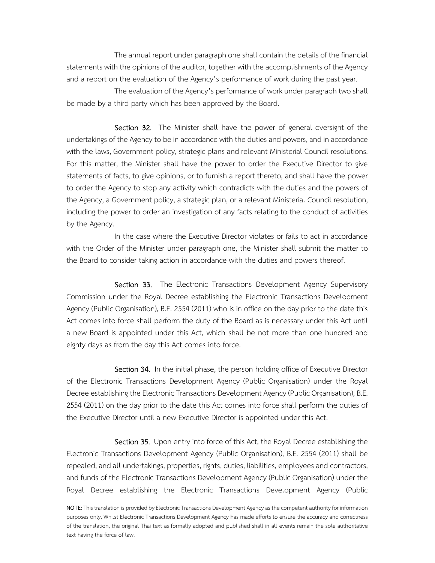The annual report under paragraph one shall contain the details of the financial statements with the opinions of the auditor, together with the accomplishments of the Agency and a report on the evaluation of the Agency's performance of work during the past year.

 The evaluation of the Agency's performance of work under paragraph two shall be made by a third party which has been approved by the Board.

Section 32. The Minister shall have the power of general oversight of the undertakings of the Agency to be in accordance with the duties and powers, and in accordance with the laws, Government policy, strategic plans and relevant Ministerial Council resolutions. For this matter, the Minister shall have the power to order the Executive Director to give statements of facts, to give opinions, or to furnish a report thereto, and shall have the power to order the Agency to stop any activity which contradicts with the duties and the powers of the Agency, a Government policy, a strategic plan, or a relevant Ministerial Council resolution, including the power to order an investigation of any facts relating to the conduct of activities by the Agency.

 In the case where the Executive Director violates or fails to act in accordance with the Order of the Minister under paragraph one, the Minister shall submit the matter to the Board to consider taking action in accordance with the duties and powers thereof.

Section 33. The Electronic Transactions Development Agency Supervisory Commission under the Royal Decree establishing the Electronic Transactions Development Agency (Public Organisation), B.E. 2554 (2011) who is in office on the day prior to the date this Act comes into force shall perform the duty of the Board as is necessary under this Act until a new Board is appointed under this Act, which shall be not more than one hundred and eighty days as from the day this Act comes into force.

Section 34. In the initial phase, the person holding office of Executive Director of the Electronic Transactions Development Agency (Public Organisation) under the Royal Decree establishing the Electronic Transactions Development Agency (Public Organisation), B.E. 2554 (2011) on the day prior to the date this Act comes into force shall perform the duties of the Executive Director until a new Executive Director is appointed under this Act.

Section 35. Upon entry into force of this Act, the Royal Decree establishing the Electronic Transactions Development Agency (Public Organisation), B.E. 2554 (2011) shall be repealed, and all undertakings, properties, rights, duties, liabilities, employees and contractors, and funds of the Electronic Transactions Development Agency (Public Organisation) under the Royal Decree establishing the Electronic Transactions Development Agency (Public

**NOTE:** This translation is provided by Electronic Transactions Development Agency as the competent authority for information purposes only. Whilst Electronic Transactions Development Agency has made efforts to ensure the accuracy and correctness of the translation, the original Thai text as formally adopted and published shall in all events remain the sole authoritative text having the force of law.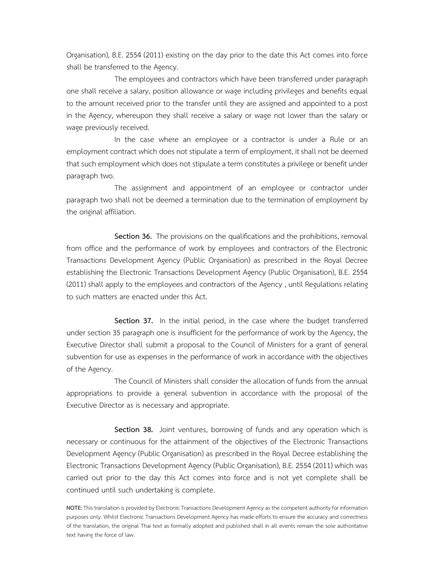Organisation), B.E. 2554 (2011) existing on the day prior to the date this Act comes into force shall be transferred to the Agency.

 The employees and contractors which have been transferred under paragraph one shall receive a salary, position allowance or wage including privileges and benefits equal to the amount received prior to the transfer until they are assigned and appointed to a post in the Agency, whereupon they shall receive a salary or wage not lower than the salary or wage previously received.

 In the case where an employee or a contractor is under a Rule or an employment contract which does not stipulate a term of employment, it shall not be deemed that such employment which does not stipulate a term constitutes a privilege or benefit under paragraph two.

 The assignment and appointment of an employee or contractor under paragraph two shall not be deemed a termination due to the termination of employment by the original affiliation.

Section 36. The provisions on the qualifications and the prohibitions, removal from office and the performance of work by employees and contractors of the Electronic Transactions Development Agency (Public Organisation) as prescribed in the Royal Decree establishing the Electronic Transactions Development Agency (Public Organisation), B.E. 2554 (2011) shall apply to the employees and contractors of the Agency , until Regulations relating to such matters are enacted under this Act.

 **Section 37.** In the initial period, in the case where the budget transferred under section 35 paragraph one is insufficient for the performance of work by the Agency, the Executive Director shall submit a proposal to the Council of Ministers for a grant of general subvention for use as expenses in the performance of work in accordance with the objectives of the Agency.

 The Council of Ministers shall consider the allocation of funds from the annual appropriations to provide a general subvention in accordance with the proposal of the Executive Director as is necessary and appropriate.

 **Section 38.** Joint ventures, borrowing of funds and any operation which is necessary or continuous for the attainment of the objectives of the Electronic Transactions Development Agency (Public Organisation) as prescribed in the Royal Decree establishing the Electronic Transactions Development Agency (Public Organisation), B.E. 2554 (2011) which was carried out prior to the day this Act comes into force and is not yet complete shall be continued until such undertaking is complete.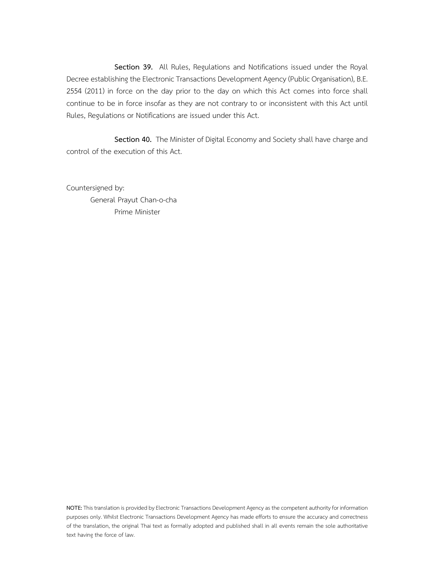**Section 39.** All Rules, Regulations and Notifications issued under the Royal Decree establishing the Electronic Transactions Development Agency (Public Organisation), B.E. 2554 (2011) in force on the day prior to the day on which this Act comes into force shall continue to be in force insofar as they are not contrary to or inconsistent with this Act until Rules, Regulations or Notifications are issued under this Act.

 **Section 40.** The Minister of Digital Economy and Society shall have charge and control of the execution of this Act.

Countersigned by: General Prayut Chan-o-cha Prime Minister